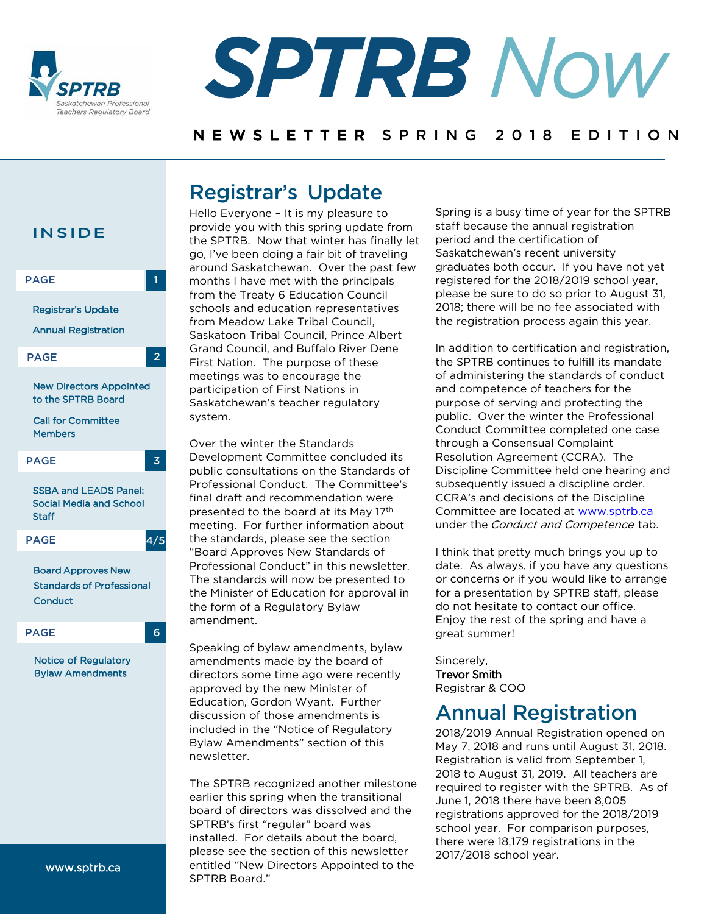



### NEWSLETTER SPRING 2018 EDITION

# Registrar's Update



Hello Everyone – It is my pleasure to provide you with this spring update from the SPTRB. Now that winter has finally let go, I've been doing a fair bit of traveling around Saskatchewan. Over the past few months I have met with the principals from the Treaty 6 Education Council schools and education representatives from Meadow Lake Tribal Council, Saskatoon Tribal Council, Prince Albert Grand Council, and Buffalo River Dene First Nation. The purpose of these meetings was to encourage the participation of First Nations in Saskatchewan's teacher regulatory system.

Over the winter the Standards Development Committee concluded its public consultations on the Standards of Professional Conduct. The Committee's final draft and recommendation were presented to the board at its May 17th meeting. For further information about the standards, please see the section ["Board Approves New Standards of](#page-3-0)  Professional Conduct" in this newsletter. The standards will now be presented to the Minister of Education for approval in the form of a Regulatory Bylaw amendment.

Speaking of bylaw amendments, bylaw amendments made by the board of directors some time ago were recently approved by the new Minister of Education, Gordon Wyant. Further discussion of those amendments is included in the "Notice of [Regulatory](#page-5-0)  Bylaw Amendments" section of this newsletter.

The SPTRB recognized another milestone earlier this spring when the transitional board of directors was dissolved and the SPTRB's first "regular" board was installed. For details about the board, please see the section of this newsletter entitled "New Directors Appointed to the SPTRB Board."

Spring is a busy time of year for the SPTRB staff because the annual registration period and the certification of Saskatchewan's recent university graduates both occur. If you have not yet registered for the 2018/2019 school year, please be sure to do so prior to August 31, 2018; there will be no fee associated with the registration process again this year.

In addition to certification and registration, the SPTRB continues to fulfill its mandate of administering the standards of conduct and competence of teachers for the purpose of serving and protecting the public. Over the winter the Professional Conduct Committee completed one case through a Consensual Complaint Resolution Agreement (CCRA). The Discipline Committee held one hearing and subsequently issued a discipline order. CCRA's and decisions of the Discipline Committee are located at [www.sptrb.ca](http://www.sptrb.ca/) under the *Conduct and Competence* tab.

I think that pretty much brings you up to date. As always, if you have any questions or concerns or if you would like to arrange for a presentation by SPTRB staff, please do not hesitate to contact our office. Enjoy the rest of the spring and have a great summer!

Sincerely, Trevor Smith Registrar & COO

# Annual Registration

2018/2019 Annual Registration opened on May 7, 2018 and runs until August 31, 2018. Registration is valid from September 1, 2018 to August 31, 2019. All teachers are required to register with the SPTRB. As of June 1, 2018 there have been 8,005 registrations approved for the 2018/2019 school year. For comparison purposes, there were 18,179 registrations in the 2017/2018 school year.

www.sptrb.ca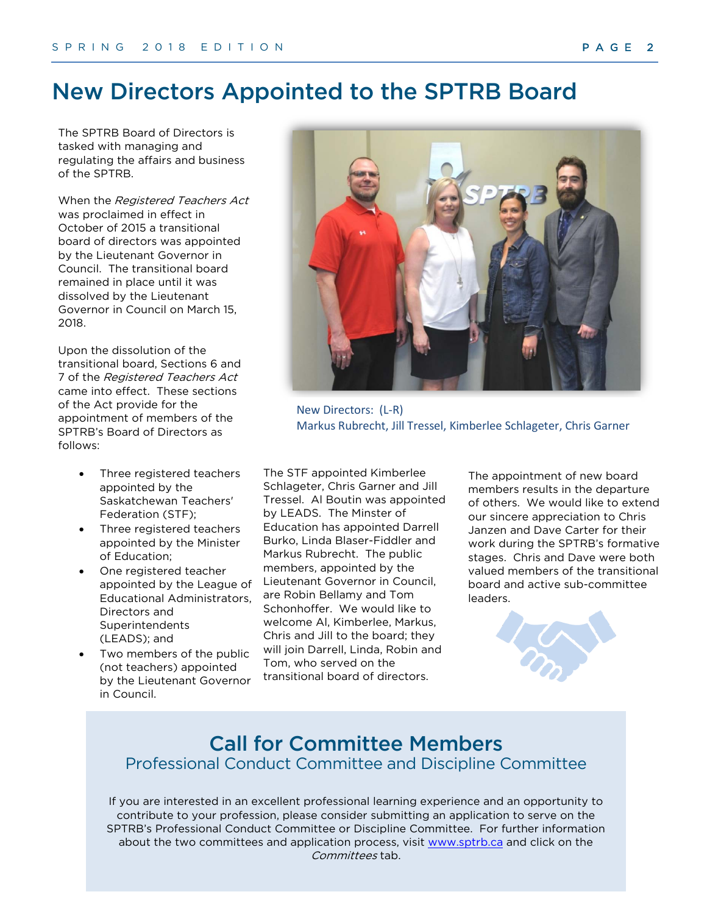# New Directors Appointed to the SPTRB Board

The SPTRB Board of Directors is tasked with managing and regulating the affairs and business of the SPTRB.

When the Registered Teachers Act was proclaimed in effect in October of 2015 a transitional board of directors was appointed by the Lieutenant Governor in Council. The transitional board remained in place until it was dissolved by the Lieutenant Governor in Council on March 15, 2018.

Upon the dissolution of the transitional board, Sections 6 and 7 of the Registered Teachers Act came into effect. These sections of the Act provide for the appointment of members of the SPTRB's Board of Directors as follows:

- Three registered teachers appointed by the Saskatchewan Teachers' Federation (STF);
- Three registered teachers appointed by the Minister of Education;
- One registered teacher appointed by the League of Educational Administrators, Directors and Superintendents (LEADS); and
- Two members of the public (not teachers) appointed by the Lieutenant Governor in Council.



New Directors: (L-R) Markus Rubrecht, Jill Tressel, Kimberlee Schlageter, Chris Garner

The STF appointed Kimberlee Schlageter, Chris Garner and Jill Tressel. Al Boutin was appointed by LEADS. The Minster of Education has appointed Darrell Burko, Linda Blaser-Fiddler and Markus Rubrecht. The public members, appointed by the Lieutenant Governor in Council, are Robin Bellamy and Tom Schonhoffer. We would like to welcome Al, Kimberlee, Markus, Chris and Jill to the board; they will join Darrell, Linda, Robin and Tom, who served on the transitional board of directors.

The appointment of new board members results in the departure of others. We would like to extend our sincere appreciation to Chris Janzen and Dave Carter for their work during the SPTRB's formative stages. Chris and Dave were both valued members of the transitional board and active sub-committee leaders.



## Call for Committee Members Professional Conduct Committee and Discipline Committee

If you are interested in an excellent professional learning experience and an opportunity to contribute to your profession, please consider submitting an application to serve on the SPTRB's Professional Conduct Committee or Discipline Committee. For further information about the two committees and application process, visit [www.sptrb.ca](http://www.sptrb.ca/) and click on the Committees tab.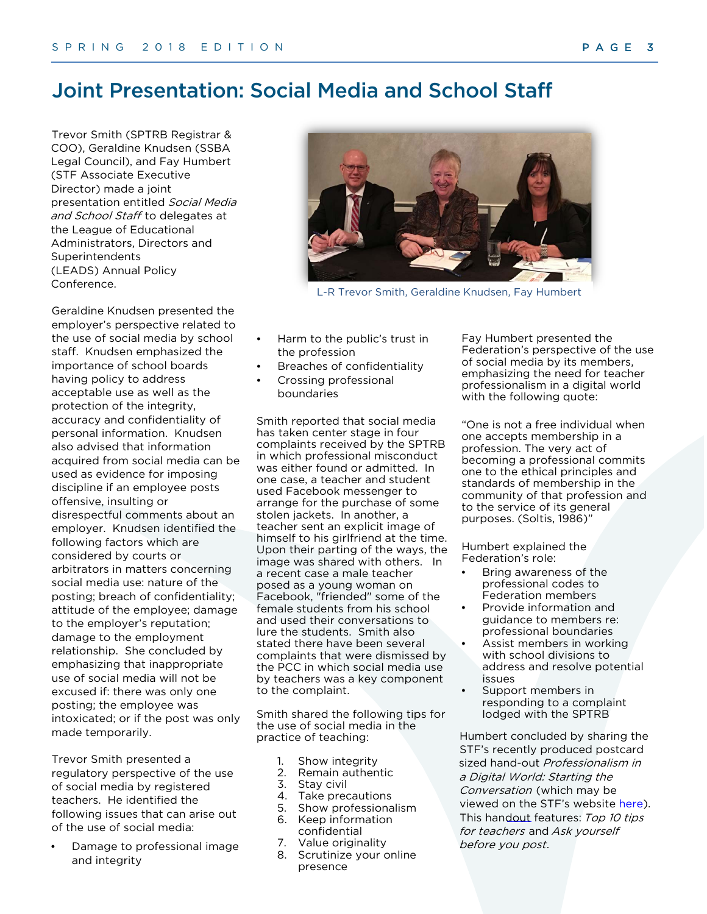## Joint Presentation: Social Media and School Staff

Trevor Smith (SPTRB Registrar & COO), Geraldine Knudsen (SSBA Legal Council), and Fay Humbert (STF Associate Executive Director) made a joint presentation entitled Social Media and School Staff to delegates at the League of Educational Administrators, Directors and Superintendents (LEADS) Annual Policy Conference.

Geraldine Knudsen presented the employer's perspective related to the use of social media by school staff. Knudsen emphasized the importance of school boards having policy to address acceptable use as well as the protection of the integrity, accuracy and confidentiality of personal information. Knudsen also advised that information acquired from social media can be used as evidence for imposing discipline if an employee posts offensive, insulting or disrespectful comments about an employer. Knudsen identified the following factors which are considered by courts or arbitrators in matters concerning social media use: nature of the posting; breach of confidentiality; attitude of the employee; damage to the employer's reputation; damage to the employment relationship. She concluded by emphasizing that inappropriate use of social media will not be excused if: there was only one posting; the employee was intoxicated; or if the post was only made temporarily.

Trevor Smith presented a regulatory perspective of the use of social media by registered teachers. He identified the following issues that can arise out of the use of social media:

• Damage to professional image and integrity



L-R Trevor Smith, Geraldine Knudsen, Fay Humbert

- Harm to the public's trust in the profession
- Breaches of confidentiality
- Crossing professional boundaries

Smith reported that social media has taken center stage in four complaints received by the SPTRB in which professional misconduct was either found or admitted. In one case, a teacher and student used Facebook messenger to arrange for the purchase of some stolen jackets. In another, a teacher sent an explicit image of himself to his girlfriend at the time. Upon their parting of the ways, the image was shared with others. In a recent case a male teacher posed as a young woman on Facebook, "friended" some of the female students from his school and used their conversations to lure the students. Smith also stated there have been several complaints that were dismissed by the PCC in which social media use by teachers was a key component to the complaint.

Smith shared the following tips for the use of social media in the practice of teaching:

- 1. Show integrity
- 2. Remain authentic
- 3. Stay civil
- 4. Take precautions
- 5. Show professionalism
- 6. Keep information
- confidential 7. Value originality
- 
- 8. Scrutinize your online presence

Fay Humbert presented the Federation's perspective of the use of social media by its members, emphasizing the need for teacher professionalism in a digital world with the following quote:

"One is not a free individual when one accepts membership in a profession. The very act of becoming a professional commits one to the ethical principles and standards of membership in the community of that profession and to the service of its general purposes. (Soltis, 1986)"

Humbert explained the Federation's role:

- Bring awareness of the professional codes to Federation members
- Provide information and guidance to members re: professional boundaries
- Assist members in working with school divisions to address and resolve potential issues
- Support members in responding to a complaint lodged with the SPTRB

Humbert concluded by sharing the STF's recently produced postcard sized hand-out Professionalism in a Digital World: Starting the Conversation (which may be viewed on the STF's website [here\)](https://www.stf.sk.ca/resource/professionalism-digital-world). This handout features: Top 10 tips for teachers and Ask yourself before you post.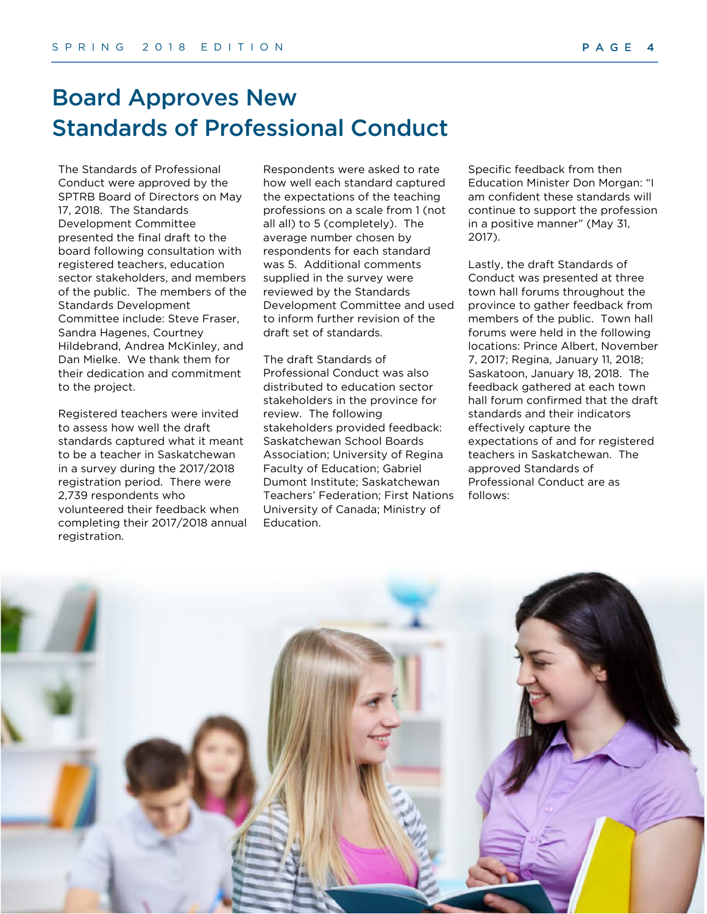# <span id="page-3-0"></span>Board Approves New Standards of Professional Conduct

The Standards of Professional Conduct were approved by the SPTRB Board of Directors on May 17, 2018. The Standards Development Committee presented the final draft to the board following consultation with registered teachers, education sector stakeholders, and members of the public. The members of the Standards Development Committee include: Steve Fraser, Sandra Hagenes, Courtney Hildebrand, Andrea McKinley, and Dan Mielke. We thank them for their dedication and commitment to the project.

Registered teachers were invited to assess how well the draft standards captured what it meant to be a teacher in Saskatchewan in a survey during the 2017/2018 registration period. There were 2,739 respondents who volunteered their feedback when completing their 2017/2018 annual registration.

Respondents were asked to rate how well each standard captured the expectations of the teaching professions on a scale from 1 (not all all) to 5 (completely). The average number chosen by respondents for each standard was 5. Additional comments supplied in the survey were reviewed by the Standards Development Committee and used to inform further revision of the draft set of standards.

The draft Standards of Professional Conduct was also distributed to education sector stakeholders in the province for review. The following stakeholders provided feedback: Saskatchewan School Boards Association; University of Regina Faculty of Education; Gabriel Dumont Institute; Saskatchewan Teachers' Federation; First Nations University of Canada; Ministry of Education.

Specific feedback from then Education Minister Don Morgan: "I am confident these standards will continue to support the profession in a positive manner" (May 31, 2017).

Lastly, the draft Standards of Conduct was presented at three town hall forums throughout the province to gather feedback from members of the public. Town hall forums were held in the following locations: Prince Albert, November 7, 2017; Regina, January 11, 2018; Saskatoon, January 18, 2018. The feedback gathered at each town hall forum confirmed that the draft standards and their indicators effectively capture the expectations of and for registered teachers in Saskatchewan. The approved Standards of Professional Conduct are as follows:

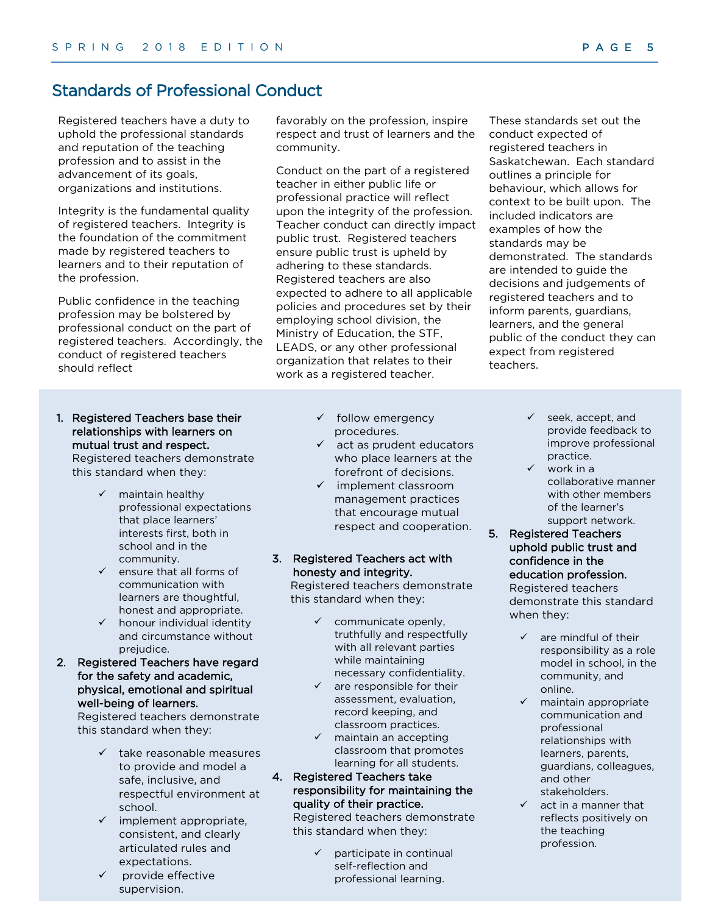## Standards of Professional Conduct

Registered teachers have a duty to uphold the professional standards and reputation of the teaching profession and to assist in the advancement of its goals, organizations and institutions.

Integrity is the fundamental quality of registered teachers. Integrity is the foundation of the commitment made by registered teachers to learners and to their reputation of the profession.

Public confidence in the teaching profession may be bolstered by professional conduct on the part of registered teachers. Accordingly, the conduct of registered teachers should reflect

- 1. Registered Teachers base their relationships with learners on mutual trust and respect. Registered teachers demonstrate this standard when they:
	- $\checkmark$  maintain healthy professional expectations that place learners' interests first, both in school and in the community.
	- $\checkmark$  ensure that all forms of communication with learners are thoughtful, honest and appropriate.
	- $\checkmark$  honour individual identity and circumstance without prejudice.
- 2. Registered Teachers have regard for the safety and academic, physical, emotional and spiritual well-being of learners.

Registered teachers demonstrate this standard when they:

- take reasonable measures to provide and model a safe, inclusive, and respectful environment at school.
- $\checkmark$  implement appropriate, consistent, and clearly articulated rules and expectations.
- provide effective supervision.

favorably on the profession, inspire respect and trust of learners and the community.

Conduct on the part of a registered teacher in either public life or professional practice will reflect upon the integrity of the profession. Teacher conduct can directly impact public trust. Registered teachers ensure public trust is upheld by adhering to these standards. Registered teachers are also expected to adhere to all applicable policies and procedures set by their employing school division, the Ministry of Education, the STF, LEADS, or any other professional organization that relates to their work as a registered teacher.

- $\checkmark$  follow emergency procedures.
- $\checkmark$  act as prudent educators who place learners at the forefront of decisions.
- $\checkmark$  implement classroom management practices that encourage mutual respect and cooperation.

#### 3. Registered Teachers act with honesty and integrity.

Registered teachers demonstrate this standard when they:

- $\checkmark$  communicate openly, truthfully and respectfully with all relevant parties while maintaining necessary confidentiality.
- $\checkmark$  are responsible for their assessment, evaluation, record keeping, and classroom practices.
- $\checkmark$  maintain an accepting classroom that promotes learning for all students.

### 4. Registered Teachers take responsibility for maintaining the quality of their practice.

Registered teachers demonstrate this standard when they:

> participate in continual self-reflection and professional learning.

These standards set out the conduct expected of registered teachers in Saskatchewan. Each standard outlines a principle for behaviour, which allows for context to be built upon. The included indicators are examples of how the standards may be demonstrated. The standards are intended to guide the decisions and judgements of registered teachers and to inform parents, guardians, learners, and the general public of the conduct they can expect from registered teachers.

- $\checkmark$  seek, accept, and provide feedback to improve professional practice.
- work in a collaborative manner with other members of the learner's support network.
- 5. Registered Teachers uphold public trust and confidence in the education profession. Registered teachers

demonstrate this standard when they:

- $\checkmark$  are mindful of their responsibility as a role model in school, in the community, and online.
- maintain appropriate communication and professional relationships with learners, parents, guardians, colleagues, and other stakeholders.
- act in a manner that reflects positively on the teaching profession.